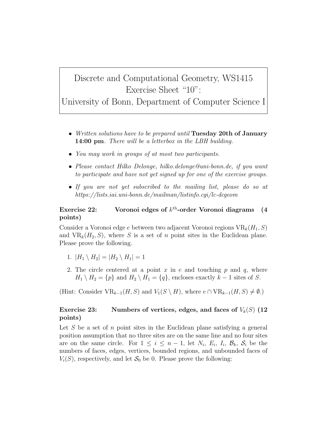## Discrete and Computational Geometry, WS1415 Exercise Sheet "10":

University of Bonn, Department of Computer Science I

- Written solutions have to be prepared until Tuesday 20th of January **14:00 pm**. There will be a letterbox in the LBH building.
- You may work in groups of at most two participants.
- Please contact Hilko Delonge, hilko.delonge@uni-bonn.de, if you want to participate and have not yet signed up for one of the exercise groups.
- If you are not yet subscribed to the mailing list, please do so at https://lists.iai.uni-bonn.de/mailman/listinfo.cgi/lc-dcgeom

## Exercise 22: Voronoi edges of  $k^{\text{th}}$ -order Voronoi diagrams (4 points)

Consider a Voronoi edge e between two adjacent Voronoi regions  $VR_k(H_1, S)$ and  $VR_k(H_2, S)$ , where S is a set of n point sites in the Euclidean plane. Please prove the following.

- 1.  $|H_1 \setminus H_2| = |H_2 \setminus H_1| = 1$
- 2. The circle centered at a point x in e and touching p and q, where  $H_1 \setminus H_2 = \{p\}$  and  $H_2 \setminus H_1 = \{q\}$ , encloses exactly  $k-1$  sites of S.

(Hint: Consider  $VR_{k-1}(H, S)$  and  $V_1(S \setminus H)$ , where  $e \cap VR_{k-1}(H, S) \neq \emptyset$ .)

## Exercise 23: Numbers of vertices, edges, and faces of  $V_k(S)$  (12) points)

Let S be a set of n point sites in the Euclidean plane satisfying a general position assumption that no three sites are on the same line and no four sites are on the same circle. For  $1 \leq i \leq n-1$ , let  $N_i$ ,  $E_i$ ,  $I_i$ ,  $\mathcal{B}_k$ ,  $\mathcal{S}_i$  be the numbers of faces, edges, vertices, bounded regions, and unbounded faces of  $V_i(S)$ , respectively, and let  $S_0$  be 0. Please prove the following: